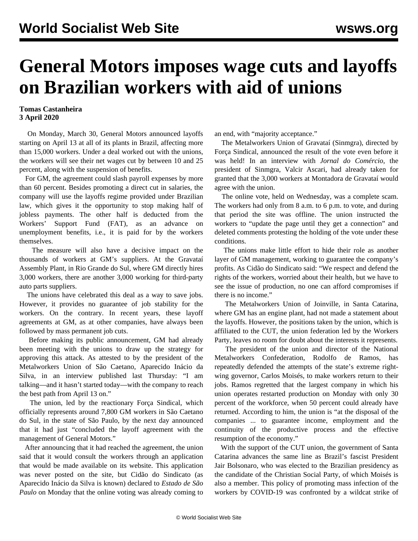## **General Motors imposes wage cuts and layoffs on Brazilian workers with aid of unions**

## **Tomas Castanheira 3 April 2020**

 On Monday, March 30, General Motors announced layoffs starting on April 13 at all of its plants in Brazil, affecting more than 15,000 workers. Under a deal worked out with the unions, the workers will see their net wages cut by between 10 and 25 percent, along with the suspension of benefits.

 For GM, the agreement could slash payroll expenses by more than 60 percent. Besides promoting a direct cut in salaries, the company will use the layoffs regime provided under Brazilian law, which gives it the opportunity to stop making half of jobless payments. The other half is deducted from the Workers' Support Fund (FAT), as an advance on unemployment benefits, i.e., it is paid for by the workers themselves.

 The measure will also have a decisive impact on the thousands of workers at GM's suppliers. At the Gravataí Assembly Plant, in Rio Grande do Sul, where GM directly hires 3,000 workers, there are another 3,000 working for third-party auto parts suppliers.

 The unions have celebrated this deal as a way to save jobs. However, it provides no guarantee of job stability for the workers. On the contrary. In recent years, these layoff agreements at GM, as at other companies, have always been followed by mass permanent job cuts.

 Before making its public announcement, GM had already been meeting with the unions to draw up the strategy for approving this attack. As attested to by the president of the Metalworkers Union of São Caetano, Aparecido Inácio da Silva, in an interview published last Thursday: "I am talking—and it hasn't started today—with the company to reach the best path from April 13 on."

 The union, led by the reactionary Força Sindical, which officially represents around 7,800 GM workers in São Caetano do Sul, in the state of São Paulo, by the next day announced that it had just "concluded the layoff agreement with the management of General Motors."

 After announcing that it had reached the agreement, the union said that it would consult the workers through an application that would be made available on its website. This application was never posted on the site, but Cidão do Sindicato (as Aparecido Inácio da Silva is known) declared to *Estado de São Paulo* on Monday that the online voting was already coming to an end, with "majority acceptance."

 The Metalworkers Union of Gravataí (Sinmgra), directed by Força Sindical, announced the result of the vote even before it was held! In an interview with *Jornal do Comércio*, the president of Sinmgra, Valcir Ascari, had already taken for granted that the 3,000 workers at Montadora de Gravataí would agree with the union.

 The online vote, held on Wednesday, was a complete scam. The workers had only from 8 a.m. to 6 p.m. to vote, and during that period the site was offline. The union instructed the workers to "update the page until they get a connection" and deleted comments protesting the holding of the vote under these conditions.

 The unions make little effort to hide their role as another layer of GM management, working to guarantee the company's profits. As Cidão do Sindicato said: "We respect and defend the rights of the workers, worried about their health, but we have to see the issue of production, no one can afford compromises if there is no income."

 The Metalworkers Union of Joinville, in Santa Catarina, where GM has an engine plant, had not made a statement about the layoffs. However, the positions taken by the union, which is affiliated to the CUT, the union federation led by the Workers Party, leaves no room for doubt about the interests it represents.

 The president of the union and director of the National Metalworkers Confederation, Rodolfo de Ramos, has repeatedly defended the attempts of the state's extreme rightwing governor, Carlos Moisés, to make workers return to their jobs. Ramos regretted that the largest company in which his union operates restarted production on Monday with only 30 percent of the workforce, when 50 percent could already have returned. According to him, the union is "at the disposal of the companies ... to guarantee income, employment and the continuity of the productive process and the effective resumption of the economy."

 With the support of the CUT union, the government of Santa Catarina advances the same line as Brazil's fascist President Jair Bolsonaro, who was elected to the Brazilian presidency as the candidate of the Christian Social Party, of which Moisés is also a member. This policy of promoting mass infection of the workers by COVID-19 was confronted by a wildcat strike of